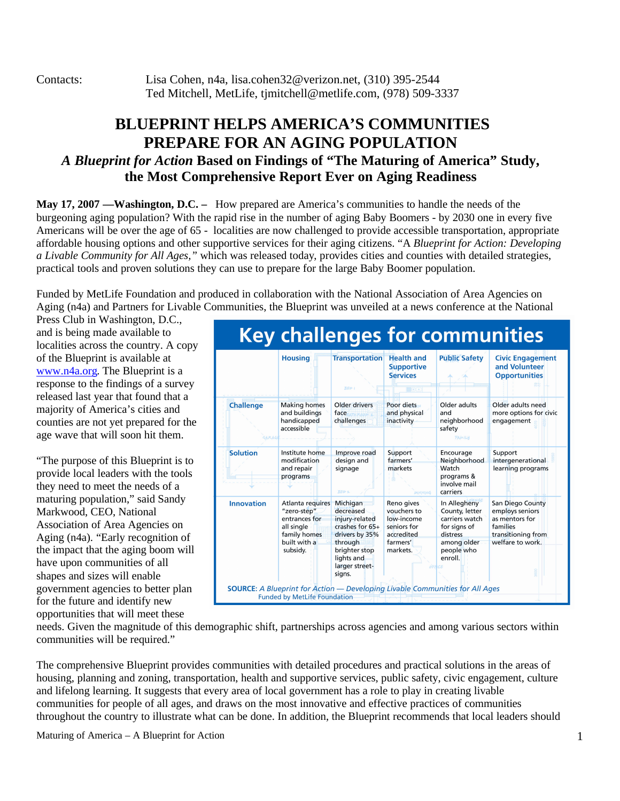Contacts: Lisa Cohen, n4a, lisa.cohen32@verizon.net, (310) 395-2544 Ted Mitchell, MetLife, tjmitchell@metlife.com, (978) 509-3337

## **BLUEPRINT HELPS AMERICA'S COMMUNITIES PREPARE FOR AN AGING POPULATION** *A Blueprint for Action* **Based on Findings of "The Maturing of America" Study, the Most Comprehensive Report Ever on Aging Readiness**

**May 17, 2007 —Washington, D.C. –** How prepared are America's communities to handle the needs of the burgeoning aging population? With the rapid rise in the number of aging Baby Boomers - by 2030 one in every five Americans will be over the age of 65 - localities are now challenged to provide accessible transportation, appropriate affordable housing options and other supportive services for their aging citizens. "A *Blueprint for Action: Developing a Livable Community for All Ages,"* which was released today, provides cities and counties with detailed strategies, practical tools and proven solutions they can use to prepare for the large Baby Boomer population.

Funded by MetLife Foundation and produced in collaboration with the National Association of Area Agencies on Aging (n4a) and Partners for Livable Communities, the Blueprint was unveiled at a news conference at the National

Press Club in Washington, D.C., and is being made available to localities across the country. A copy of the Blueprint is available at www.n4a.org. The Blueprint is a response to the findings of a survey released last year that found that a majority of America's cities and counties are not yet prepared for the age wave that will soon hit them.

"The purpose of this Blueprint is to provide local leaders with the tools they need to meet the needs of a maturing population," said Sandy Markwood, CEO, National Association of Area Agencies on Aging (n4a). "Early recognition of the impact that the aging boom will have upon communities of all shapes and sizes will enable government agencies to better plan for the future and identify new opportunities that will meet these



needs. Given the magnitude of this demographic shift, partnerships across agencies and among various sectors within communities will be required."

The comprehensive Blueprint provides communities with detailed procedures and practical solutions in the areas of housing, planning and zoning, transportation, health and supportive services, public safety, civic engagement, culture and lifelong learning. It suggests that every area of local government has a role to play in creating livable communities for people of all ages, and draws on the most innovative and effective practices of communities throughout the country to illustrate what can be done. In addition, the Blueprint recommends that local leaders should

Maturing of America – A Blueprint for Action 1